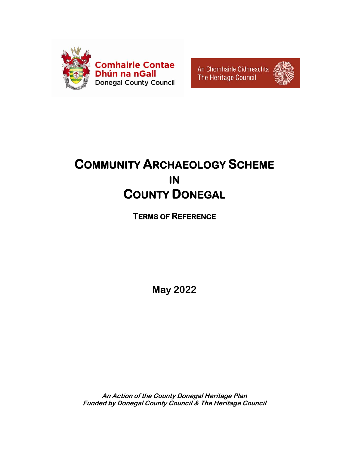

An Chomhairle Oidhreachta The Heritage Council



# **COMMUNITY ARCHAEOLOGY SCHEME IN COUNTY DONEGAL**

**TERMS OF REFERENCE** 

**May 2022** 

**An Action of the County Donegal Heritage Plan Funded by Donegal County Council & The Heritage Council**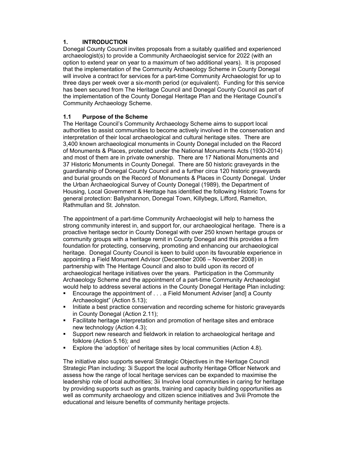## **1. INTRODUCTION**

Donegal County Council invites proposals from a suitably qualified and experienced archaeologist(s) to provide a Community Archaeologist service for 2022 (with an option to extend year on year to a maximum of two additional years). It is proposed that the implementation of the Community Archaeology Scheme in County Donegal will involve a contract for services for a part-time Community Archaeologist for up to three days per week over a six-month period (or equivalent). Funding for this service has been secured from The Heritage Council and Donegal County Council as part of the implementation of the County Donegal Heritage Plan and the Heritage Council's Community Archaeology Scheme.

## **1.1 Purpose of the Scheme**

The Heritage Council's Community Archaeology Scheme aims to support local authorities to assist communities to become actively involved in the conservation and interpretation of their local archaeological and cultural heritage sites. There are 3,400 known archaeological monuments in County Donegal included on the Record of Monuments & Places, protected under the National Monuments Acts (1930-2014) and most of them are in private ownership. There are 17 National Monuments and 37 Historic Monuments in County Donegal. There are 50 historic graveyards in the guardianship of Donegal County Council and a further circa 120 historic graveyards and burial grounds on the Record of Monuments & Places in County Donegal. Under the Urban Archaeological Survey of County Donegal (1989), the Department of Housing, Local Government & Heritage has identified the following Historic Towns for general protection: Ballyshannon, Donegal Town, Killybegs, Lifford, Ramelton, Rathmullan and St. Johnston.

The appointment of a part-time Community Archaeologist will help to harness the strong community interest in, and support for, our archaeological heritage. There is a proactive heritage sector in County Donegal with over 250 known heritage groups or community groups with a heritage remit in County Donegal and this provides a firm foundation for protecting, conserving, promoting and enhancing our archaeological heritage. Donegal County Council is keen to build upon its favourable experience in appointing a Field Monument Advisor (December 2006 – November 2008) in partnership with The Heritage Council and also to build upon its record of archaeological heritage initiatives over the years. Participation in the Community Archaeology Scheme and the appointment of a part-time Community Archaeologist would help to address several actions in the County Donegal Heritage Plan including:

- Encourage the appointment of . . . a Field Monument Adviser [and] a County Archaeologist" (Action 5.13);
- Initiate a best practice conservation and recording scheme for historic graveyards in County Donegal (Action 2.11);
- Facilitate heritage interpretation and promotion of heritage sites and embrace new technology (Action 4.3);
- Support new research and fieldwork in relation to archaeological heritage and folklore (Action 5.16); and
- Explore the 'adoption' of heritage sites by local communities (Action 4.8).

The initiative also supports several Strategic Objectives in the Heritage Council Strategic Plan including: 3i Support the local authority Heritage Officer Network and assess how the range of local heritage services can be expanded to maximise the leadership role of local authorities; 3ii Involve local communities in caring for heritage by providing supports such as grants, training and capacity building opportunities as well as community archaeology and citizen science initiatives and 3viii Promote the educational and leisure benefits of community heritage projects.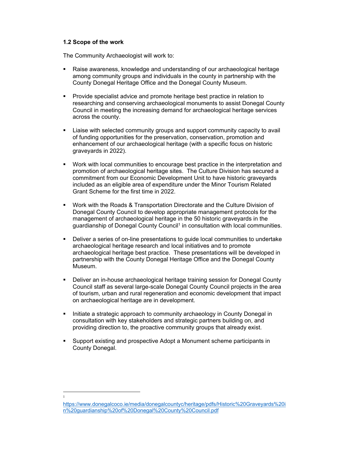#### **1.2 Scope of the work**

The Community Archaeologist will work to:

- Raise awareness, knowledge and understanding of our archaeological heritage among community groups and individuals in the county in partnership with the County Donegal Heritage Office and the Donegal County Museum.
- Provide specialist advice and promote heritage best practice in relation to researching and conserving archaeological monuments to assist Donegal County Council in meeting the increasing demand for archaeological heritage services across the county.
- Liaise with selected community groups and support community capacity to avail of funding opportunities for the preservation, conservation, promotion and enhancement of our archaeological heritage (with a specific focus on historic graveyards in 2022).
- Work with local communities to encourage best practice in the interpretation and promotion of archaeological heritage sites. The Culture Division has secured a commitment from our Economic Development Unit to have historic graveyards included as an eligible area of expenditure under the Minor Tourism Related Grant Scheme for the first time in 2022.
- Work with the Roads & Transportation Directorate and the Culture Division of Donegal County Council to develop appropriate management protocols for the management of archaeological heritage in the 50 historic graveyards in the guardianship of Donegal County Council<sup>1</sup> in consultation with local communities.
- Deliver a series of on-line presentations to guide local communities to undertake archaeological heritage research and local initiatives and to promote archaeological heritage best practice. These presentations will be developed in partnership with the County Donegal Heritage Office and the Donegal County Museum.
- Deliver an in-house archaeological heritage training session for Donegal County Council staff as several large-scale Donegal County Council projects in the area of tourism, urban and rural regeneration and economic development that impact on archaeological heritage are in development.
- **Initiate a strategic approach to community archaeology in County Donegal in** consultation with key stakeholders and strategic partners building on, and providing direction to, the proactive community groups that already exist.
- Support existing and prospective Adopt a Monument scheme participants in County Donegal.

1

https://www.donegalcoco.ie/media/donegalcountyc/heritage/pdfs/Historic%20Graveyards%20i n%20guardianship%20of%20Donegal%20County%20Council.pdf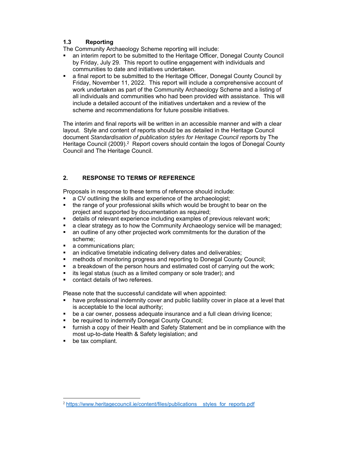## **1.3 Reporting**

The Community Archaeology Scheme reporting will include:

- an interim report to be submitted to the Heritage Officer, Donegal County Council by Friday, July 29. This report to outline engagement with individuals and communities to date and initiatives undertaken.
- a final report to be submitted to the Heritage Officer, Donegal County Council by Friday, November 11, 2022. This report will include a comprehensive account of work undertaken as part of the Community Archaeology Scheme and a listing of all individuals and communities who had been provided with assistance. This will include a detailed account of the initiatives undertaken and a review of the scheme and recommendations for future possible initiatives.

The interim and final reports will be written in an accessible manner and with a clear layout. Style and content of reports should be as detailed in the Heritage Council document *Standardisation of publication styles for Heritage Council report*s by The Heritage Council (2009).<sup>2</sup> Report covers should contain the logos of Donegal County Council and The Heritage Council.

## **2. RESPONSE TO TERMS OF REFERENCE**

Proposals in response to these terms of reference should include:

- a CV outlining the skills and experience of the archaeologist;
- the range of your professional skills which would be brought to bear on the project and supported by documentation as required;
- details of relevant experience including examples of previous relevant work;
- a clear strategy as to how the Community Archaeology service will be managed;
- an outline of any other projected work commitments for the duration of the scheme;
- a communications plan;
- an indicative timetable indicating delivery dates and deliverables;
- methods of monitoring progress and reporting to Donegal County Council;
- **a** breakdown of the person hours and estimated cost of carrying out the work;
- **i** its legal status (such as a limited company or sole trader); and
- contact details of two referees.

Please note that the successful candidate will when appointed:

- have professional indemnity cover and public liability cover in place at a level that is acceptable to the local authority;
- be a car owner, possess adequate insurance and a full clean driving licence;
- be required to indemnify Donegal County Council;
- furnish a copy of their Health and Safety Statement and be in compliance with the most up-to-date Health & Safety legislation; and
- **be tax compliant.**

<sup>&</sup>lt;sup>2</sup> https://www.heritagecouncil.ie/content/files/publications styles for reports.pdf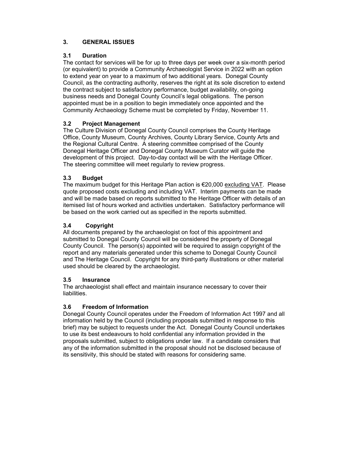# **3. GENERAL ISSUES**

## **3.1 Duration**

The contact for services will be for up to three days per week over a six-month period (or equivalent) to provide a Community Archaeologist Service in 2022 with an option to extend year on year to a maximum of two additional years. Donegal County Council, as the contracting authority, reserves the right at its sole discretion to extend the contract subject to satisfactory performance, budget availability, on-going business needs and Donegal County Council's legal obligations. The person appointed must be in a position to begin immediately once appointed and the Community Archaeology Scheme must be completed by Friday, November 11.

## **3.2 Project Management**

The Culture Division of Donegal County Council comprises the County Heritage Office, County Museum, County Archives, County Library Service, County Arts and the Regional Cultural Centre. A steering committee comprised of the County Donegal Heritage Officer and Donegal County Museum Curator will guide the development of this project. Day-to-day contact will be with the Heritage Officer. The steering committee will meet regularly to review progress.

## **3.3 Budget**

The maximum budget for this Heritage Plan action is €20,000 excluding VAT. Please quote proposed costs excluding and including VAT. Interim payments can be made and will be made based on reports submitted to the Heritage Officer with details of an itemised list of hours worked and activities undertaken. Satisfactory performance will be based on the work carried out as specified in the reports submitted.

## **3.4 Copyright**

All documents prepared by the archaeologist on foot of this appointment and submitted to Donegal County Council will be considered the property of Donegal County Council. The person(s) appointed will be required to assign copyright of the report and any materials generated under this scheme to Donegal County Council and The Heritage Council. Copyright for any third-party illustrations or other material used should be cleared by the archaeologist.

#### **3.5 Insurance**

The archaeologist shall effect and maintain insurance necessary to cover their **liabilities** 

#### **3.6 Freedom of Information**

Donegal County Council operates under the Freedom of Information Act 1997 and all information held by the Council (including proposals submitted in response to this brief) may be subject to requests under the Act. Donegal County Council undertakes to use its best endeavours to hold confidential any information provided in the proposals submitted, subject to obligations under law. If a candidate considers that any of the information submitted in the proposal should not be disclosed because of its sensitivity, this should be stated with reasons for considering same.